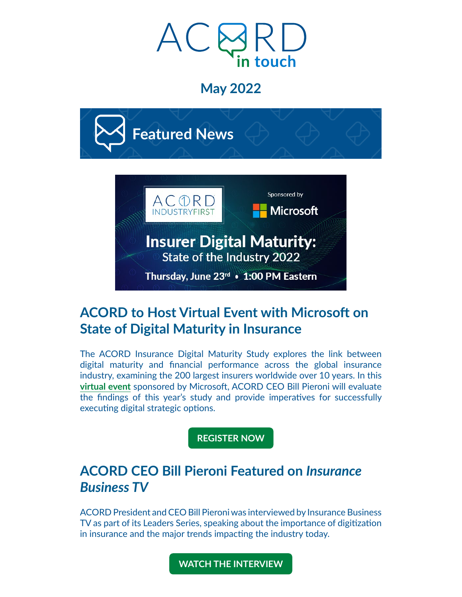

# **May 2022**



# **ACORD to Host Virtual Event with Microsoft on State of Digital Maturity in Insurance**

The ACORD Insurance Digital Maturity Study explores the link between digital maturity and financial performance across the global insurance industry, examining the 200 largest insurers worldwide over 10 years. In this **[virtual event](https://acord.createsend1.com/t/d-i-ftldduy-l-j/)** sponsored by Microsoft, ACORD CEO Bill Pieroni will evaluate the findings of this year's study and provide imperatives for successfully executing digital strategic options.

#### **[REGISTER NOW](https://acord.createsend1.com/t/d-i-ftldduy-l-t/)**

# **ACORD CEO Bill Pieroni Featured on** *Insurance Business TV*

ACORD President and CEO Bill Pieroni was interviewed by Insurance Business TV as part of its Leaders Series, speaking about the importance of digitization in insurance and the major trends impacting the industry today.

**[WATCH THE INTERVIEW](https://acord.createsend1.com/t/d-i-ftldduy-l-i/)**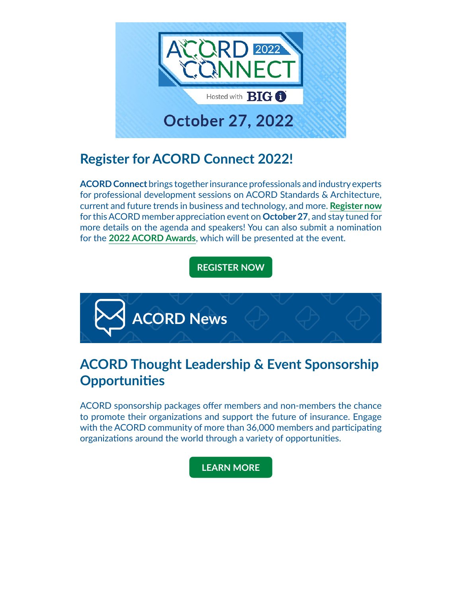

# **Register for ACORD Connect 2022!**

**ACORD Connect** brings together insurance professionals and industry experts for professional development sessions on ACORD Standards & Architecture, current and future trends in business and technology, and more. **[Register now](https://acord.createsend1.com/t/d-i-ftldduy-l-h/)**  for this ACORD member appreciation event on **October 27**, and stay tuned for more details on the agenda and speakers! You can also submit a nomination for the **[2022 ACORD Awards](https://acord.createsend1.com/t/d-i-ftldduy-l-k/)**, which will be presented at the event.

### **[REGISTER NOW](https://acord.createsend1.com/t/d-i-ftldduy-l-u/)**



# **ACORD Thought Leadership & Event Sponsorship Opportunities**

ACORD sponsorship packages offer members and non-members the chance to promote their organizations and support the future of insurance. Engage with the ACORD community of more than 36,000 members and participating organizations around the world through a variety of opportunities.

#### **[LEARN MORE](https://acord.createsend1.com/t/d-i-ftldduy-l-o/)**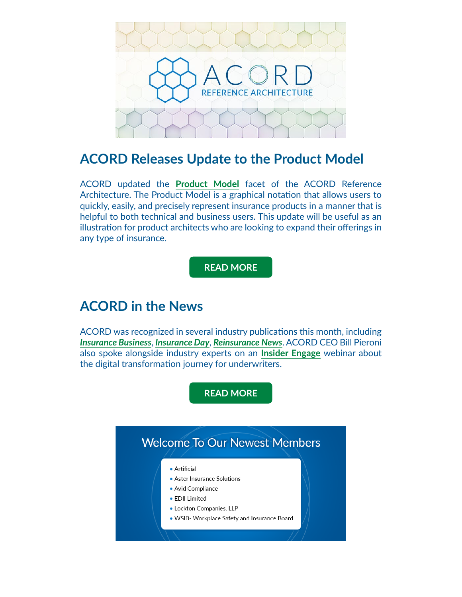

### **ACORD Releases Update to the Product Model**

ACORD updated the **[Product Model](https://acord.createsend1.com/t/d-i-ftldduy-l-n/)** facet of the ACORD Reference Architecture. The Product Model is a graphical notation that allows users to quickly, easily, and precisely represent insurance products in a manner that is helpful to both technical and business users. This update will be useful as an illustration for product architects who are looking to expand their offerings in any type of insurance.

#### **[READ MORE](https://acord.createsend1.com/t/d-i-ftldduy-l-p/)**

### **ACORD in the News**

ACORD was recognized in several industry publications this month, including *[Insurance Business](https://acord.createsend1.com/t/d-i-ftldduy-l-x/)*, *[Insurance Day](https://insuranceday.maritimeintelligence.informa.com/ID1140647/Focus-For-Blueprint-Two-the-market-needs-to-modernise-its-change-processes)*, *[Reinsurance News](https://acord.createsend1.com/t/d-i-ftldduy-l-c/)*. ACORD CEO Bill Pieroni also spoke alongside industry experts on an **[Insider Engage](https://acord.createsend1.com/t/d-i-ftldduy-l-q/)** webinar about the digital transformation journey for underwriters.

**[READ MORE](https://acord.createsend1.com/t/d-i-ftldduy-l-f/)**

### **Welcome To Our Newest Members**

#### • Artificial

- Aster Insurance Solutions
- · Avid Compliance
- EDII Limited
- Lockton Companies, LLP
- . WSIB- Workplace Safety and Insurance Board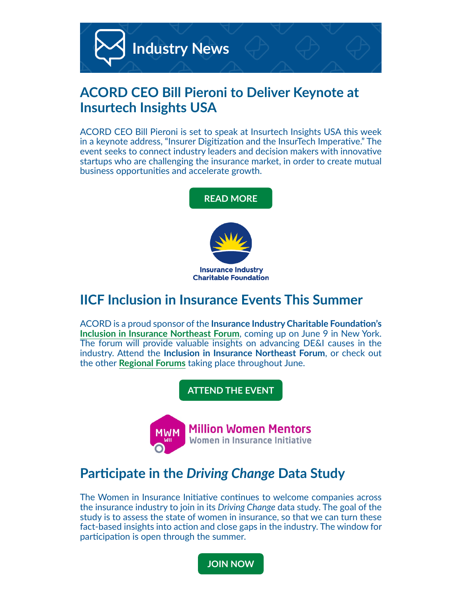

# **ACORD CEO Bill Pieroni to Deliver Keynote at Insurtech Insights USA**

ACORD CEO Bill Pieroni is set to speak at Insurtech Insights USA this week in a keynote address, "Insurer Digitization and the InsurTech Imperative." The event seeks to connect industry leaders and decision makers with innovative startups who are challenging the insurance market, in order to create mutual business opportunities and accelerate growth.



# **IICF Inclusion in Insurance Events This Summer**

ACORD is a proud sponsor of the **Insurance Industry Charitable Foundation's [Inclusion in Insurance Northeast Forum](https://acord.createsend1.com/t/d-i-ftldduy-l-e/)**, coming up on June 9 in New York. The forum will provide valuable insights on advancing DE&I causes in the industry. Attend the **Inclusion in Insurance Northeast Forum**, or check out the other **[Regional Forums](https://acord.createsend1.com/t/d-i-ftldduy-l-s/)** taking place throughout June.

**[ATTEND THE EVENT](https://acord.createsend1.com/t/d-i-ftldduy-l-g/)**



# **Participate in the** *Driving Change* **Data Study**

The Women in Insurance Initiative continues to welcome companies across the insurance industry to join in its *Driving Change* data study. The goal of the study is to assess the state of women in insurance, so that we can turn these fact-based insights into action and close gaps in the industry. The window for participation is open through the summer.

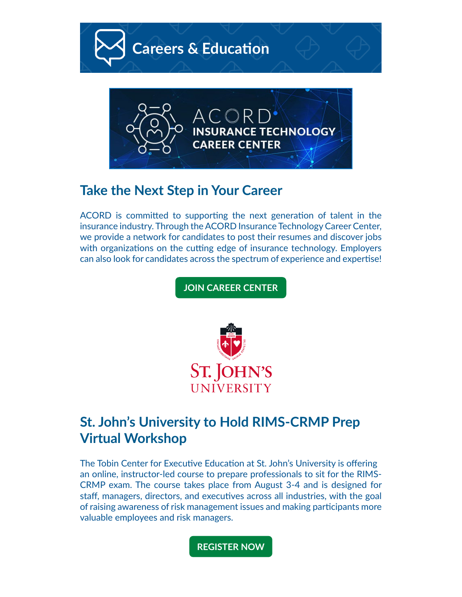

**CAREER CENTER** 

### **Take the Next Step in Your Career**

ACORD is committed to supporting the next generation of talent in the insurance industry. Through the ACORD Insurance Technology Career Center, we provide a network for candidates to post their resumes and discover jobs with organizations on the cutting edge of insurance technology. Employers can also look for candidates across the spectrum of experience and expertise!

**[JOIN CAREER CENTER](https://acord.createsend1.com/t/d-i-ftldduy-l-yk/)**



# **St. John's University to Hold RIMS-CRMP Prep Virtual Workshop**

The Tobin Center for Executive Education at St. John's University is offering an online, instructor-led course to prepare professionals to sit for the RIMS-CRMP exam. The course takes place from August 3-4 and is designed for staff, managers, directors, and executives across all industries, with the goal of raising awareness of risk management issues and making participants more valuable employees and risk managers.

**[REGISTER NOW](https://acord.createsend1.com/t/d-i-ftldduy-l-yu/)**